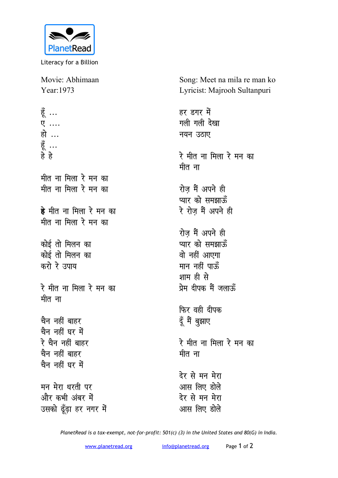

Literacy for a Billion

Movie: Abhimaan Year:1973

हूँ ... <mark>ए</mark> .... हो … हूँ ... **gs gs** <u>मीत ना मिला रे मन का</u> <u>मीत ना मिला रे मन का</u> **हे** मीत ना मिला रे मन का मीत ना मिला रे मन का कोई तो मिलन का <u>कोई तो मिलन का</u> करो रे उपाय रे मीत ना मिला रे मन का <u>मीत ना</u> <u>चैन नहीं बाहर</u> चैन नहीं घर में रे चैन नहीं बाहर <u>चैन नहीं बाहर</u> <u>चैन नहीं घर में</u> मन मेरा धरती पर और कभी अंबर में उसको ढूँढ़ा हर नगर में देर से मन मेरा <u>आस लिए होले</u>

Song: Meet na mila re man ko Lyricist: Majrooh Sultanpuri

हर डगर में **गली** गली देखा **नयन उठाए** रे मीत ना मिला रे मन का मीत ना रोज़ मैं अपने ही **प्यार को समझा**ऊँ रे रोज मैं अपने ही रोज मैं अपने ही **प्यार को समझा**ऊँ वो नहीं आएगा मान नहीं पार्<mark>क</mark>ॅ शाम ही से <u>प्रेम दीपक मैं जलाऊँ</u> **फिर वही दीपक** दूँ मैं बुझाए रे मीत ना मिला रे मन क<mark>ा</mark> मीत ना देर से मन मेरा आस लिए डोले

*PlanetRead is a tax-exempt, not-for-profit: 501(c) (3) in the United States and 80(G) in India.*